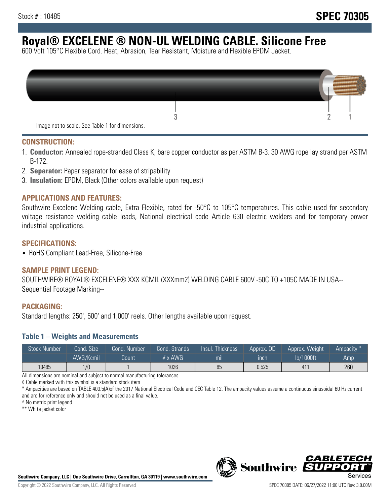# **Royal® EXCELENE ® NON-UL WELDING CABLE. Silicone Free**

600 Volt 105°C Flexible Cord. Heat, Abrasion, Tear Resistant, Moisture and Flexible EPDM Jacket.

| Image not to scale. See Table 1 for dimensions. |  |
|-------------------------------------------------|--|

#### **CONSTRUCTION:**

- 1. **Conductor:** Annealed rope-stranded Class K, bare copper conductor as per ASTM B-3. 30 AWG rope lay strand per ASTM B-172.
- 2. **Separator:** Paper separator for ease of stripability
- 3. **Insulation:** EPDM, Black (Other colors available upon request)

#### **APPLICATIONS AND FEATURES:**

Southwire Excelene Welding cable, Extra Flexible, rated for -50°C to 105°C temperatures. This cable used for secondary voltage resistance welding cable leads, National electrical code Article 630 electric welders and for temporary power industrial applications.

#### **SPECIFICATIONS:**

• RoHS Compliant Lead-Free, Silicone-Free

#### **SAMPLE PRINT LEGEND:**

SOUTHWIRE® ROYAL® EXCELENE® XXX KCMIL (XXXmm2) WELDING CABLE 600V -50C TO +105C MADE IN USA-- Sequential Footage Marking--

#### **PACKAGING:**

Standard lengths: 250', 500' and 1,000' reels. Other lengths available upon request.

#### **Table 1 – Weights and Measurements**

| <b>Stock Number</b> | Cond. Size | Cond. Number | Cond. Strands   | Insul. Thickness | Approx. OD | Approx. Weight | Ampacity * |
|---------------------|------------|--------------|-----------------|------------------|------------|----------------|------------|
|                     | AWG/Kcmil  | Count        | $# \times$ AWG. | mı               | inch       | lb/1000ft      | Amp        |
| 10485               | 1/0        |              | 1026            | 85               | 0.525      | 411            | 260        |

All dimensions are nominal and subject to normal manufacturing tolerances

◊ Cable marked with this symbol is a standard stock item

\* Ampacities are based on TABLE 400.5(A)of the 2017 National Electrical Code and CEC Table 12. The ampacity values assume a continuous sinusoidal 60 Hz current and are for reference only and should not be used as a final value.

^ No metric print legend

\*\* White jacket color



*CABLE*